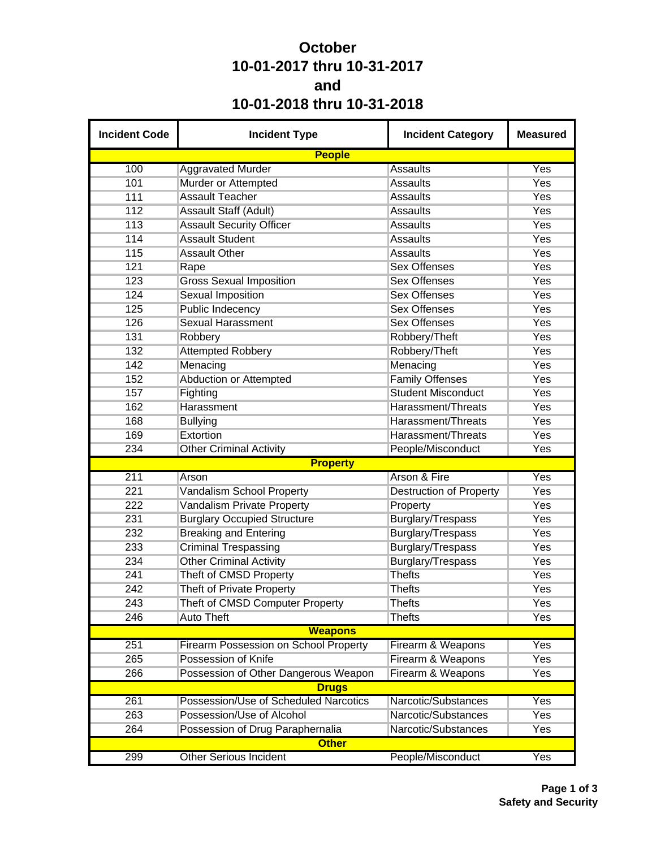## **October 10-01-2017 thru 10-31-2017 and 10-01-2018 thru 10-31-2018**

| <b>Incident Code</b> | <b>Incident Type</b>                  | <b>Incident Category</b>       | <b>Measured</b>  |
|----------------------|---------------------------------------|--------------------------------|------------------|
|                      | <b>People</b>                         |                                |                  |
| 100                  | <b>Aggravated Murder</b>              | <b>Assaults</b>                | Yes              |
| 101                  | Murder or Attempted                   | <b>Assaults</b>                | Yes              |
| 111                  | <b>Assault Teacher</b>                | <b>Assaults</b>                | Yes              |
| 112                  | Assault Staff (Adult)                 | <b>Assaults</b>                | Yes              |
| 113                  | <b>Assault Security Officer</b>       | <b>Assaults</b>                | Yes              |
| 114                  | <b>Assault Student</b>                | <b>Assaults</b>                | Yes              |
| 115                  | <b>Assault Other</b>                  | <b>Assaults</b>                | Yes              |
| 121                  | Rape                                  | <b>Sex Offenses</b>            | Yes              |
| 123                  | <b>Gross Sexual Imposition</b>        | <b>Sex Offenses</b>            | Yes              |
| 124                  | <b>Sexual Imposition</b>              | <b>Sex Offenses</b>            | Yes              |
| 125                  | <b>Public Indecency</b>               | <b>Sex Offenses</b>            | Yes              |
| 126                  | <b>Sexual Harassment</b>              | <b>Sex Offenses</b>            | Yes              |
| 131                  | Robbery                               | Robbery/Theft                  | Yes              |
| 132                  | <b>Attempted Robbery</b>              | Robbery/Theft                  | Yes              |
| 142                  | Menacing                              | Menacing                       | Yes              |
| 152                  | <b>Abduction or Attempted</b>         | <b>Family Offenses</b>         | Yes              |
| 157                  | Fighting                              | <b>Student Misconduct</b>      | Yes              |
| 162                  | Harassment                            | Harassment/Threats             | Yes              |
| 168                  | <b>Bullying</b>                       | Harassment/Threats             | Yes              |
| 169                  | Extortion                             | Harassment/Threats             | Yes              |
| 234                  | <b>Other Criminal Activity</b>        | People/Misconduct              | Yes              |
|                      | <b>Property</b>                       |                                |                  |
| 211                  | Arson                                 | Arson & Fire                   | Yes              |
| 221                  | Vandalism School Property             | <b>Destruction of Property</b> | Yes              |
| 222                  | Vandalism Private Property            | Property                       | Yes              |
| 231                  | <b>Burglary Occupied Structure</b>    | Burglary/Trespass              | Yes              |
| 232                  | <b>Breaking and Entering</b>          | Burglary/Trespass              | Yes              |
| 233                  | <b>Criminal Trespassing</b>           | Burglary/Trespass              | Yes              |
| 234                  | <b>Other Criminal Activity</b>        | Burglary/Trespass              | Yes              |
| 241                  | Theft of CMSD Property                | <b>Thefts</b>                  | Yes              |
| 242                  | <b>Theft of Private Property</b>      | <b>Thefts</b>                  | Yes              |
| 243                  | Theft of CMSD Computer Property       | <b>Thefts</b>                  | Yes              |
| 246                  | <b>Auto Theft</b>                     | <b>Thefts</b>                  | Yes              |
|                      | <b>Weapons</b>                        |                                |                  |
| 251                  | Firearm Possession on School Property | Firearm & Weapons              | Yes              |
| 265                  | Possession of Knife                   | Firearm & Weapons              | Yes              |
| 266                  | Possession of Other Dangerous Weapon  | Firearm & Weapons              | Yes              |
|                      | <b>Drugs</b>                          |                                |                  |
| 261                  | Possession/Use of Scheduled Narcotics | Narcotic/Substances            | Yes              |
| 263                  | Possession/Use of Alcohol             | Narcotic/Substances            | Yes              |
| 264                  | Possession of Drug Paraphernalia      | Narcotic/Substances            | Yes              |
|                      | <b>Other</b>                          |                                |                  |
| 299                  | <b>Other Serious Incident</b>         | People/Misconduct              | $\overline{Yes}$ |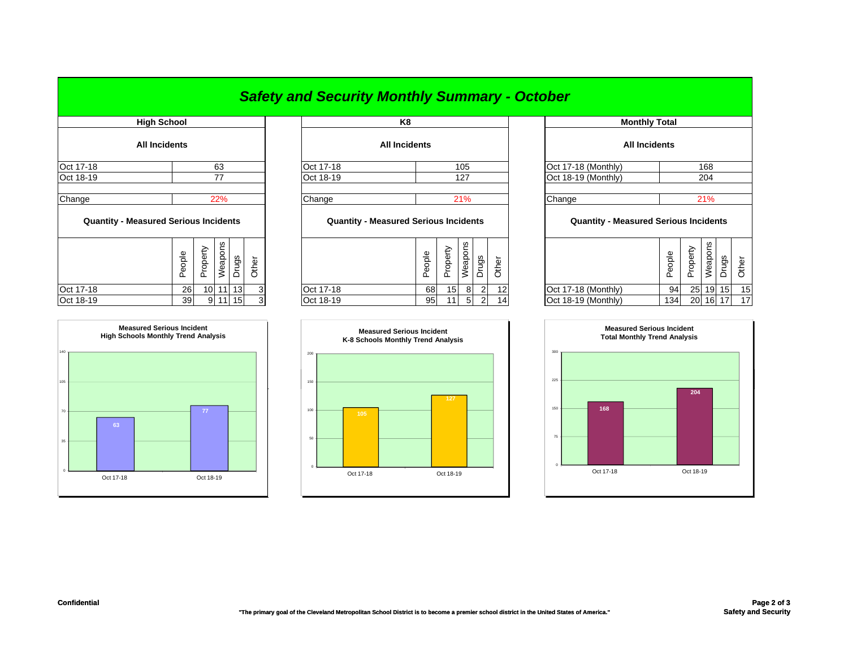## *Safety and Security Monthly Summary - October*

| <b>High School</b>                           |        |                 |         |       |       |                                              | K8                   |                 |         |       |       |         |
|----------------------------------------------|--------|-----------------|---------|-------|-------|----------------------------------------------|----------------------|-----------------|---------|-------|-------|---------|
| <b>All Incidents</b>                         |        |                 |         |       |       |                                              | <b>All Incidents</b> |                 |         |       |       |         |
| Oct 17-18                                    |        |                 | 63      |       |       | Oct 17-18                                    |                      |                 | 105     |       |       | Oct 17- |
| Oct 18-19                                    |        |                 | 77      |       |       | Oct 18-19                                    |                      |                 | 127     |       |       | Oct 18- |
| Change                                       |        |                 | 22%     |       |       | Change                                       |                      |                 | 21%     |       |       | Change  |
| <b>Quantity - Measured Serious Incidents</b> |        |                 |         |       |       | <b>Quantity - Measured Serious Incidents</b> |                      |                 |         |       |       | Q       |
|                                              | People | Property        | Weapons | Drugs | Other |                                              | People               | Property        | Weapons | Drugs | Other |         |
| Oct 17-18                                    | 26     | 10 <sup>1</sup> | 11      | 13    | 3     | Oct 17-18                                    | 68                   | 15 <sub>l</sub> | 8       | 2     | 12    | Oct 17- |
|                                              |        |                 |         |       |       |                                              |                      |                 |         |       |       |         |



|                                             | High School          |                          | K8                   |                          | <b>Monthly Total</b> |
|---------------------------------------------|----------------------|--------------------------|----------------------|--------------------------|----------------------|
|                                             | <b>All Incidents</b> |                          | <b>All Incidents</b> |                          | <b>All Incidents</b> |
| Oct 17-18                                   | 63                   | Oct 17-18                | 105                  | Oct 17-18 (Monthly)      |                      |
| Oct 18-19                                   |                      | Oct 18-19                | 127                  | Oct 18-19 (Monthly)      |                      |
| $\bigcap_{n\geq 0}$ and $\bigcap_{n\geq 0}$ | 00 <sup>0</sup>      | $\bigcap_{n=1}^{\infty}$ | 0.401                | $\bigcap_{n=1}^{\infty}$ |                      |

## **Quantity - Measured Serious Incidents Quantity - Measured Serious Incidents Quantity - Measured Serious Incidents**

| ပ္က<br>leapol<br>Φ<br>৯<br>္တ<br>흐<br><u>_</u><br>௨<br>$\overline{\circ}$<br>≛<br>௳<br>ᄔ |           | Φ<br>ᅙ<br>$\circ$<br>Ф<br>௨ | ∽<br>ധ<br>௨<br>– | δŢ<br>ŏ<br>eap | gs | ∸<br>Φ |                     | gldo<br>Φ<br>௨ | Φ<br>∸<br>ட | ၯ<br>ω | შე              |    |
|------------------------------------------------------------------------------------------|-----------|-----------------------------|------------------|----------------|----|--------|---------------------|----------------|-------------|--------|-----------------|----|
| 13<br>Oct 17-18<br><b>26</b><br>101<br>$\sim$                                            | Oct 17-18 | 68                          | 15               | 8              |    | 12     | Oct 17-18 (Monthly) | 94             | 25          |        | 19 15           | 15 |
| Oct 18-19<br>15<br>39<br>9111<br>ີ<br>v                                                  | Oct 18-19 | 95                          | 11               | 5              |    | 14     | Oct 18-19 (Monthly) | 134            | 20          | 16     | 17 <sub>1</sub> | 17 |



|                           |                                                        | K8                   |                                                 |    |     |                |          | <b>Monthly Total</b>                                   |       |       |          |  |    |  |
|---------------------------|--------------------------------------------------------|----------------------|-------------------------------------------------|----|-----|----------------|----------|--------------------------------------------------------|-------|-------|----------|--|----|--|
|                           |                                                        | <b>All Incidents</b> |                                                 |    |     |                |          | <b>All Incidents</b>                                   |       |       |          |  |    |  |
| 63                        |                                                        | Oct 17-18            |                                                 |    | 105 |                |          | Oct 17-18 (Monthly)                                    |       |       |          |  |    |  |
| 77                        |                                                        | Oct 18-19            |                                                 |    | 127 |                |          | Oct 18-19 (Monthly)                                    |       |       | 204      |  |    |  |
| 22%<br>cidents            | Change<br><b>Quantity - Measured Serious Incidents</b> |                      |                                                 |    | 21% |                |          | Change<br><b>Quantity - Measured Serious Incidents</b> |       |       | 21%      |  |    |  |
| Weapons<br>Drugs<br>Other |                                                        |                      | Weapons<br>Property<br>People<br>Drugs<br>Other |    |     | People         | Property | Weapons                                                | Drugs | Other |          |  |    |  |
| $11$   13 <br>3           |                                                        | Oct 17-18            | 68                                              | 15 | 8   | $\overline{2}$ | 12       | Oct 17-18 (Monthly)                                    | 94    |       | 25 19 15 |  | 15 |  |
| $11$   15<br>3            |                                                        | Oct 18-19            | 95                                              | 11 | 5   | 2              | 14       | Oct 18-19 (Monthly)                                    | 134   |       | 20 16 17 |  | 17 |  |